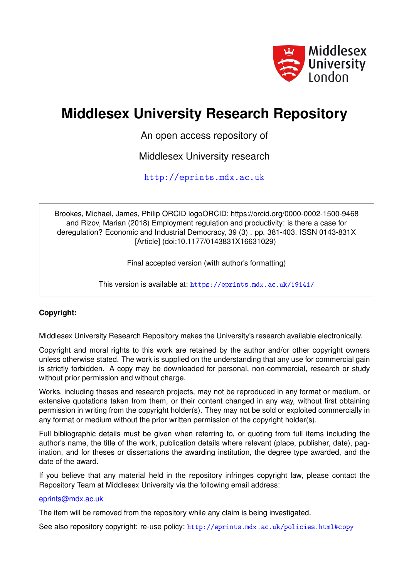

# **Middlesex University Research Repository**

An open access repository of

Middlesex University research

<http://eprints.mdx.ac.uk>

Brookes, Michael, James, Philip ORCID logoORCID: https://orcid.org/0000-0002-1500-9468 and Rizov, Marian (2018) Employment regulation and productivity: is there a case for deregulation? Economic and Industrial Democracy, 39 (3) . pp. 381-403. ISSN 0143-831X [Article] (doi:10.1177/0143831X16631029)

Final accepted version (with author's formatting)

This version is available at: <https://eprints.mdx.ac.uk/19141/>

# **Copyright:**

Middlesex University Research Repository makes the University's research available electronically.

Copyright and moral rights to this work are retained by the author and/or other copyright owners unless otherwise stated. The work is supplied on the understanding that any use for commercial gain is strictly forbidden. A copy may be downloaded for personal, non-commercial, research or study without prior permission and without charge.

Works, including theses and research projects, may not be reproduced in any format or medium, or extensive quotations taken from them, or their content changed in any way, without first obtaining permission in writing from the copyright holder(s). They may not be sold or exploited commercially in any format or medium without the prior written permission of the copyright holder(s).

Full bibliographic details must be given when referring to, or quoting from full items including the author's name, the title of the work, publication details where relevant (place, publisher, date), pagination, and for theses or dissertations the awarding institution, the degree type awarded, and the date of the award.

If you believe that any material held in the repository infringes copyright law, please contact the Repository Team at Middlesex University via the following email address:

# [eprints@mdx.ac.uk](mailto:eprints@mdx.ac.uk)

The item will be removed from the repository while any claim is being investigated.

See also repository copyright: re-use policy: <http://eprints.mdx.ac.uk/policies.html#copy>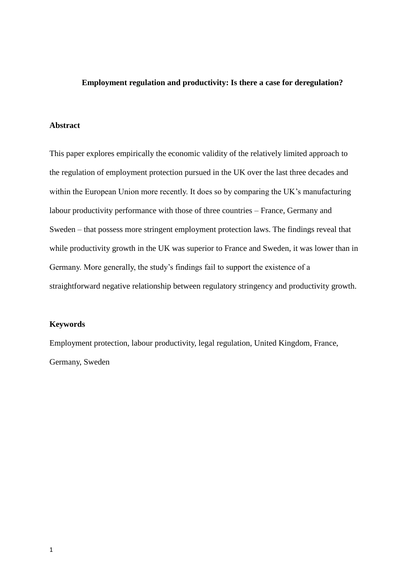# **Employment regulation and productivity: Is there a case for deregulation?**

# **Abstract**

This paper explores empirically the economic validity of the relatively limited approach to the regulation of employment protection pursued in the UK over the last three decades and within the European Union more recently. It does so by comparing the UK's manufacturing labour productivity performance with those of three countries – France, Germany and Sweden – that possess more stringent employment protection laws. The findings reveal that while productivity growth in the UK was superior to France and Sweden, it was lower than in Germany. More generally, the study's findings fail to support the existence of a straightforward negative relationship between regulatory stringency and productivity growth.

### **Keywords**

Employment protection, labour productivity, legal regulation, United Kingdom, France, Germany, Sweden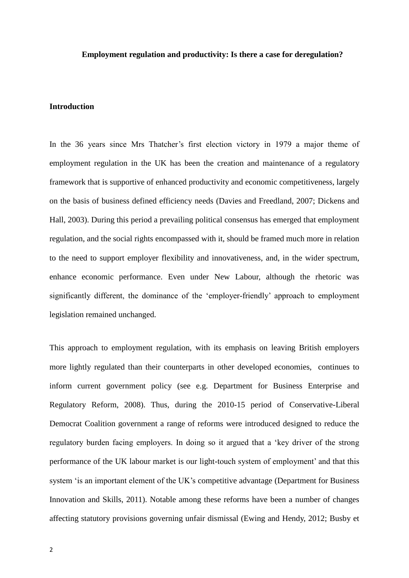#### **Employment regulation and productivity: Is there a case for deregulation?**

### **Introduction**

In the 36 years since Mrs Thatcher's first election victory in 1979 a major theme of employment regulation in the UK has been the creation and maintenance of a regulatory framework that is supportive of enhanced productivity and economic competitiveness, largely on the basis of business defined efficiency needs (Davies and Freedland, 2007; Dickens and Hall, 2003). During this period a prevailing political consensus has emerged that employment regulation, and the social rights encompassed with it, should be framed much more in relation to the need to support employer flexibility and innovativeness, and, in the wider spectrum, enhance economic performance. Even under New Labour, although the rhetoric was significantly different, the dominance of the 'employer-friendly' approach to employment legislation remained unchanged.

This approach to employment regulation, with its emphasis on leaving British employers more lightly regulated than their counterparts in other developed economies, continues to inform current government policy (see e.g. Department for Business Enterprise and Regulatory Reform, 2008). Thus, during the 2010-15 period of Conservative-Liberal Democrat Coalition government a range of reforms were introduced designed to reduce the regulatory burden facing employers. In doing so it argued that a 'key driver of the strong performance of the UK labour market is our light-touch system of employment' and that this system 'is an important element of the UK's competitive advantage (Department for Business Innovation and Skills, 2011). Notable among these reforms have been a number of changes affecting statutory provisions governing unfair dismissal (Ewing and Hendy, 2012; Busby et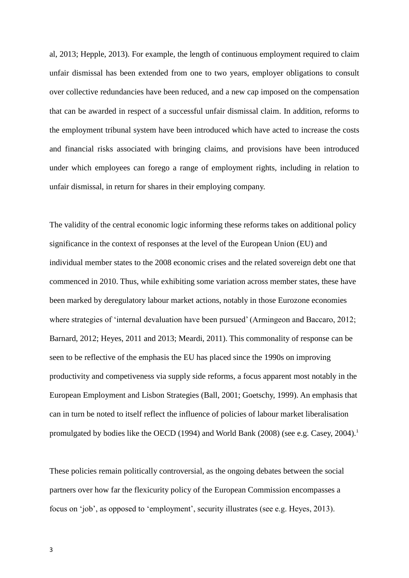al, 2013; Hepple, 2013). For example, the length of continuous employment required to claim unfair dismissal has been extended from one to two years, employer obligations to consult over collective redundancies have been reduced, and a new cap imposed on the compensation that can be awarded in respect of a successful unfair dismissal claim. In addition, reforms to the employment tribunal system have been introduced which have acted to increase the costs and financial risks associated with bringing claims, and provisions have been introduced under which employees can forego a range of employment rights, including in relation to unfair dismissal, in return for shares in their employing company.

The validity of the central economic logic informing these reforms takes on additional policy significance in the context of responses at the level of the European Union (EU) and individual member states to the 2008 economic crises and the related sovereign debt one that commenced in 2010. Thus, while exhibiting some variation across member states, these have been marked by deregulatory labour market actions, notably in those Eurozone economies where strategies of 'internal devaluation have been pursued' (Armingeon and Baccaro, 2012; Barnard, 2012; Heyes, 2011 and 2013; Meardi, 2011). This commonality of response can be seen to be reflective of the emphasis the EU has placed since the 1990s on improving productivity and competiveness via supply side reforms, a focus apparent most notably in the European Employment and Lisbon Strategies (Ball, 2001; Goetschy, 1999). An emphasis that can in turn be noted to itself reflect the influence of policies of labour market liberalisation promulgated by bodies like the OECD (1994) and World Bank (2008) (see e.g. Casey, 2004).<sup>1</sup>

These policies remain politically controversial, as the ongoing debates between the social partners over how far the flexicurity policy of the European Commission encompasses a focus on 'job', as opposed to 'employment', security illustrates (see e.g. Heyes, 2013).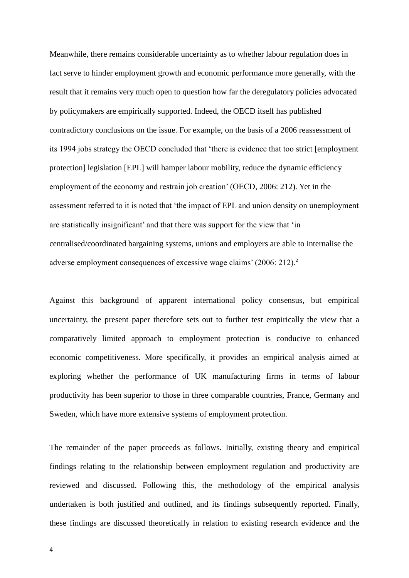Meanwhile, there remains considerable uncertainty as to whether labour regulation does in fact serve to hinder employment growth and economic performance more generally, with the result that it remains very much open to question how far the deregulatory policies advocated by policymakers are empirically supported. Indeed, the OECD itself has published contradictory conclusions on the issue. For example, on the basis of a 2006 reassessment of its 1994 jobs strategy the OECD concluded that 'there is evidence that too strict [employment protection] legislation [EPL] will hamper labour mobility, reduce the dynamic efficiency employment of the economy and restrain job creation' (OECD, 2006: 212). Yet in the assessment referred to it is noted that 'the impact of EPL and union density on unemployment are statistically insignificant' and that there was support for the view that 'in centralised/coordinated bargaining systems, unions and employers are able to internalise the adverse employment consequences of excessive wage claims' (2006: 212).<sup>2</sup>

Against this background of apparent international policy consensus, but empirical uncertainty, the present paper therefore sets out to further test empirically the view that a comparatively limited approach to employment protection is conducive to enhanced economic competitiveness. More specifically, it provides an empirical analysis aimed at exploring whether the performance of UK manufacturing firms in terms of labour productivity has been superior to those in three comparable countries, France, Germany and Sweden, which have more extensive systems of employment protection.

The remainder of the paper proceeds as follows. Initially, existing theory and empirical findings relating to the relationship between employment regulation and productivity are reviewed and discussed. Following this, the methodology of the empirical analysis undertaken is both justified and outlined, and its findings subsequently reported. Finally, these findings are discussed theoretically in relation to existing research evidence and the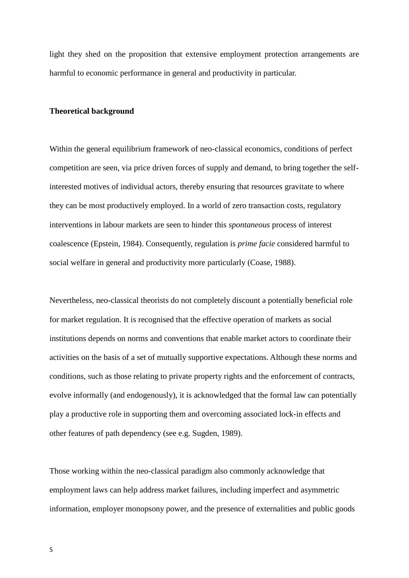light they shed on the proposition that extensive employment protection arrangements are harmful to economic performance in general and productivity in particular.

# **Theoretical background**

Within the general equilibrium framework of neo-classical economics, conditions of perfect competition are seen, via price driven forces of supply and demand, to bring together the selfinterested motives of individual actors, thereby ensuring that resources gravitate to where they can be most productively employed. In a world of zero transaction costs, regulatory interventions in labour markets are seen to hinder this *spontaneous* process of interest coalescence (Epstein, 1984). Consequently, regulation is *prime facie* considered harmful to social welfare in general and productivity more particularly (Coase, 1988).

Nevertheless, neo-classical theorists do not completely discount a potentially beneficial role for market regulation. It is recognised that the effective operation of markets as social institutions depends on norms and conventions that enable market actors to coordinate their activities on the basis of a set of mutually supportive expectations. Although these norms and conditions, such as those relating to private property rights and the enforcement of contracts, evolve informally (and endogenously), it is acknowledged that the formal law can potentially play a productive role in supporting them and overcoming associated lock-in effects and other features of path dependency (see e.g. Sugden, 1989).

Those working within the neo-classical paradigm also commonly acknowledge that employment laws can help address market failures, including imperfect and asymmetric information, employer monopsony power, and the presence of externalities and public goods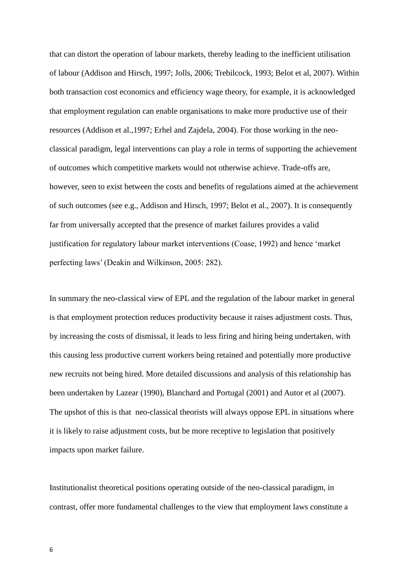that can distort the operation of labour markets, thereby leading to the inefficient utilisation of labour (Addison and Hirsch, 1997; Jolls, 2006; Trebilcock, 1993; Belot et al, 2007). Within both transaction cost economics and efficiency wage theory, for example, it is acknowledged that employment regulation can enable organisations to make more productive use of their resources (Addison et al.,1997; Erhel and Zajdela, 2004). For those working in the neoclassical paradigm, legal interventions can play a role in terms of supporting the achievement of outcomes which competitive markets would not otherwise achieve. Trade-offs are, however, seen to exist between the costs and benefits of regulations aimed at the achievement of such outcomes (see e.g., Addison and Hirsch, 1997; Belot et al., 2007). It is consequently far from universally accepted that the presence of market failures provides a valid justification for regulatory labour market interventions (Coase, 1992) and hence 'market perfecting laws' (Deakin and Wilkinson, 2005: 282).

In summary the neo-classical view of EPL and the regulation of the labour market in general is that employment protection reduces productivity because it raises adjustment costs. Thus, by increasing the costs of dismissal, it leads to less firing and hiring being undertaken, with this causing less productive current workers being retained and potentially more productive new recruits not being hired. More detailed discussions and analysis of this relationship has been undertaken by Lazear (1990), Blanchard and Portugal (2001) and Autor et al (2007). The upshot of this is that neo-classical theorists will always oppose EPL in situations where it is likely to raise adjustment costs, but be more receptive to legislation that positively impacts upon market failure.

Institutionalist theoretical positions operating outside of the neo-classical paradigm, in contrast, offer more fundamental challenges to the view that employment laws constitute a

6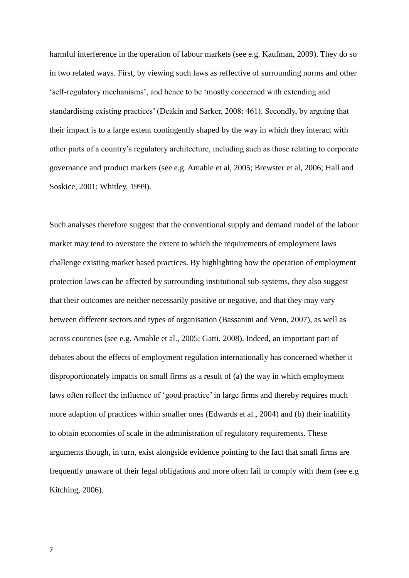harmful interference in the operation of labour markets (see e.g. Kaufman, 2009). They do so in two related ways. First, by viewing such laws as reflective of surrounding norms and other 'self-regulatory mechanisms', and hence to be 'mostly concerned with extending and standardising existing practices' (Deakin and Sarker, 2008: 461). Secondly, by arguing that their impact is to a large extent contingently shaped by the way in which they interact with other parts of a country's regulatory architecture, including such as those relating to corporate governance and product markets (see e.g. Amable et al, 2005; Brewster et al, 2006; Hall and Soskice, 2001; Whitley, 1999).

Such analyses therefore suggest that the conventional supply and demand model of the labour market may tend to overstate the extent to which the requirements of employment laws challenge existing market based practices. By highlighting how the operation of employment protection laws can be affected by surrounding institutional sub-systems, they also suggest that their outcomes are neither necessarily positive or negative, and that they may vary between different sectors and types of organisation (Bassanini and Venn, 2007), as well as across countries (see e.g. Amable et al., 2005; Gatti, 2008). Indeed, an important part of debates about the effects of employment regulation internationally has concerned whether it disproportionately impacts on small firms as a result of (a) the way in which employment laws often reflect the influence of 'good practice' in large firms and thereby requires much more adaption of practices within smaller ones (Edwards et al., 2004) and (b) their inability to obtain economies of scale in the administration of regulatory requirements. These arguments though, in turn, exist alongside evidence pointing to the fact that small firms are frequently unaware of their legal obligations and more often fail to comply with them (see e.g Kitching, 2006).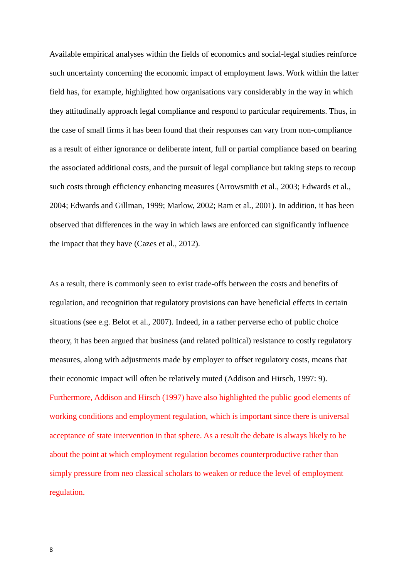Available empirical analyses within the fields of economics and social-legal studies reinforce such uncertainty concerning the economic impact of employment laws. Work within the latter field has, for example, highlighted how organisations vary considerably in the way in which they attitudinally approach legal compliance and respond to particular requirements. Thus, in the case of small firms it has been found that their responses can vary from non-compliance as a result of either ignorance or deliberate intent, full or partial compliance based on bearing the associated additional costs, and the pursuit of legal compliance but taking steps to recoup such costs through efficiency enhancing measures (Arrowsmith et al., 2003; Edwards et al., 2004; Edwards and Gillman, 1999; Marlow, 2002; Ram et al., 2001). In addition, it has been observed that differences in the way in which laws are enforced can significantly influence the impact that they have (Cazes et al., 2012).

As a result, there is commonly seen to exist trade-offs between the costs and benefits of regulation, and recognition that regulatory provisions can have beneficial effects in certain situations (see e.g. Belot et al., 2007). Indeed, in a rather perverse echo of public choice theory, it has been argued that business (and related political) resistance to costly regulatory measures, along with adjustments made by employer to offset regulatory costs, means that their economic impact will often be relatively muted (Addison and Hirsch, 1997: 9). Furthermore, Addison and Hirsch (1997) have also highlighted the public good elements of working conditions and employment regulation, which is important since there is universal acceptance of state intervention in that sphere. As a result the debate is always likely to be about the point at which employment regulation becomes counterproductive rather than simply pressure from neo classical scholars to weaken or reduce the level of employment regulation.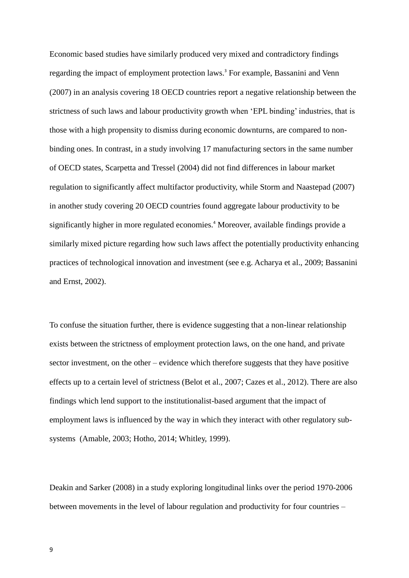Economic based studies have similarly produced very mixed and contradictory findings regarding the impact of employment protection laws.<sup>3</sup> For example, Bassanini and Venn (2007) in an analysis covering 18 OECD countries report a negative relationship between the strictness of such laws and labour productivity growth when 'EPL binding' industries, that is those with a high propensity to dismiss during economic downturns, are compared to nonbinding ones. In contrast, in a study involving 17 manufacturing sectors in the same number of OECD states, Scarpetta and Tressel (2004) did not find differences in labour market regulation to significantly affect multifactor productivity, while Storm and Naastepad (2007) in another study covering 20 OECD countries found aggregate labour productivity to be significantly higher in more regulated economies.<sup>4</sup> Moreover, available findings provide a similarly mixed picture regarding how such laws affect the potentially productivity enhancing practices of technological innovation and investment (see e.g. Acharya et al., 2009; Bassanini and Ernst, 2002).

To confuse the situation further, there is evidence suggesting that a non-linear relationship exists between the strictness of employment protection laws, on the one hand, and private sector investment, on the other – evidence which therefore suggests that they have positive effects up to a certain level of strictness (Belot et al., 2007; Cazes et al., 2012). There are also findings which lend support to the institutionalist-based argument that the impact of employment laws is influenced by the way in which they interact with other regulatory subsystems (Amable, 2003; Hotho, 2014; Whitley, 1999).

Deakin and Sarker (2008) in a study exploring longitudinal links over the period 1970-2006 between movements in the level of labour regulation and productivity for four countries –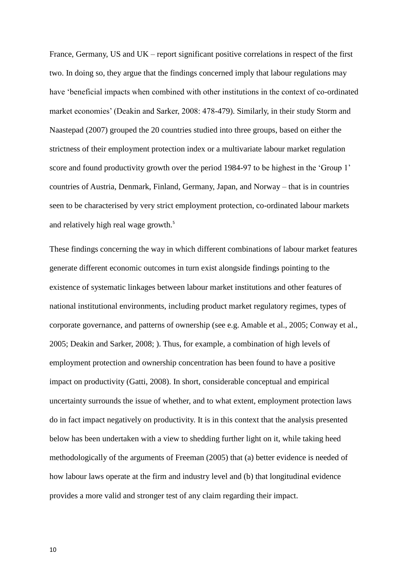France, Germany, US and UK – report significant positive correlations in respect of the first two. In doing so, they argue that the findings concerned imply that labour regulations may have 'beneficial impacts when combined with other institutions in the context of co-ordinated market economies' (Deakin and Sarker, 2008: 478-479). Similarly, in their study Storm and Naastepad (2007) grouped the 20 countries studied into three groups, based on either the strictness of their employment protection index or a multivariate labour market regulation score and found productivity growth over the period 1984-97 to be highest in the 'Group 1' countries of Austria, Denmark, Finland, Germany, Japan, and Norway – that is in countries seen to be characterised by very strict employment protection, co-ordinated labour markets and relatively high real wage growth.<sup>5</sup>

These findings concerning the way in which different combinations of labour market features generate different economic outcomes in turn exist alongside findings pointing to the existence of systematic linkages between labour market institutions and other features of national institutional environments, including product market regulatory regimes, types of corporate governance, and patterns of ownership (see e.g. Amable et al., 2005; Conway et al., 2005; Deakin and Sarker, 2008; ). Thus, for example, a combination of high levels of employment protection and ownership concentration has been found to have a positive impact on productivity (Gatti, 2008). In short, considerable conceptual and empirical uncertainty surrounds the issue of whether, and to what extent, employment protection laws do in fact impact negatively on productivity. It is in this context that the analysis presented below has been undertaken with a view to shedding further light on it, while taking heed methodologically of the arguments of Freeman (2005) that (a) better evidence is needed of how labour laws operate at the firm and industry level and (b) that longitudinal evidence provides a more valid and stronger test of any claim regarding their impact.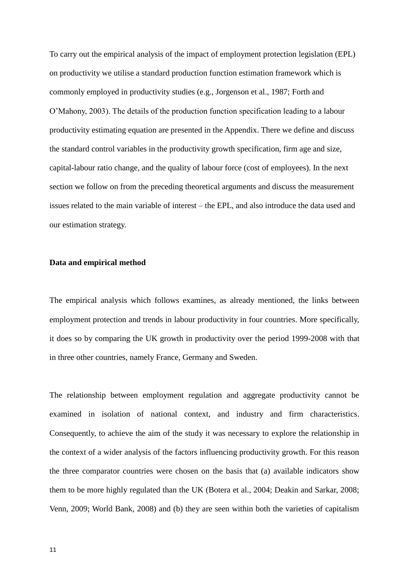To carry out the empirical analysis of the impact of employment protection legislation (EPL) on productivity we utilise a standard production function estimation framework which is commonly employed in productivity studies (e.g., Jorgenson et al., 1987; Forth and O'Mahony, 2003). The details of the production function specification leading to a labour productivity estimating equation are presented in the Appendix. There we define and discuss the standard control variables in the productivity growth specification, firm age and size, capital-labour ratio change, and the quality of labour force (cost of employees). In the next section we follow on from the preceding theoretical arguments and discuss the measurement issues related to the main variable of interest – the EPL, and also introduce the data used and our estimation strategy.

### **Data and empirical method**

The empirical analysis which follows examines, as already mentioned, the links between employment protection and trends in labour productivity in four countries. More specifically, it does so by comparing the UK growth in productivity over the period 1999-2008 with that in three other countries, namely France, Germany and Sweden.

The relationship between employment regulation and aggregate productivity cannot be examined in isolation of national context, and industry and firm characteristics. Consequently, to achieve the aim of the study it was necessary to explore the relationship in the context of a wider analysis of the factors influencing productivity growth. For this reason the three comparator countries were chosen on the basis that (a) available indicators show them to be more highly regulated than the UK (Botera et al., 2004; Deakin and Sarkar, 2008; Venn, 2009; World Bank, 2008) and (b) they are seen within both the varieties of capitalism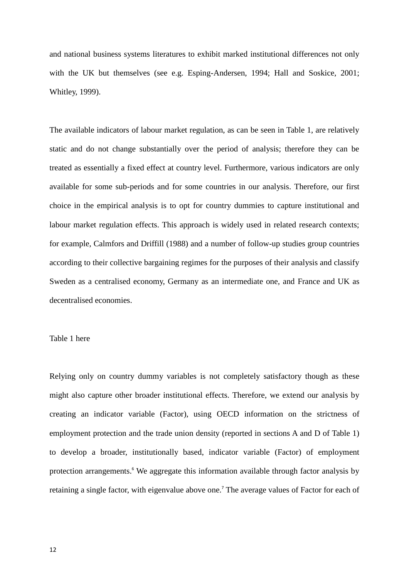and national business systems literatures to exhibit marked institutional differences not only with the UK but themselves (see e.g. Esping-Andersen, 1994; Hall and Soskice, 2001; Whitley, 1999).

The available indicators of labour market regulation, as can be seen in Table 1, are relatively static and do not change substantially over the period of analysis; therefore they can be treated as essentially a fixed effect at country level. Furthermore, various indicators are only available for some sub-periods and for some countries in our analysis. Therefore, our first choice in the empirical analysis is to opt for country dummies to capture institutional and labour market regulation effects. This approach is widely used in related research contexts; for example, Calmfors and Driffill (1988) and a number of follow-up studies group countries according to their collective bargaining regimes for the purposes of their analysis and classify Sweden as a centralised economy, Germany as an intermediate one, and France and UK as decentralised economies.

### Table 1 here

Relying only on country dummy variables is not completely satisfactory though as these might also capture other broader institutional effects. Therefore, we extend our analysis by creating an indicator variable (Factor), using OECD information on the strictness of employment protection and the trade union density (reported in sections A and D of Table 1) to develop a broader, institutionally based, indicator variable (Factor) of employment protection arrangements.<sup>6</sup> We aggregate this information available through factor analysis by retaining a single factor, with eigenvalue above one.<sup>7</sup> The average values of Factor for each of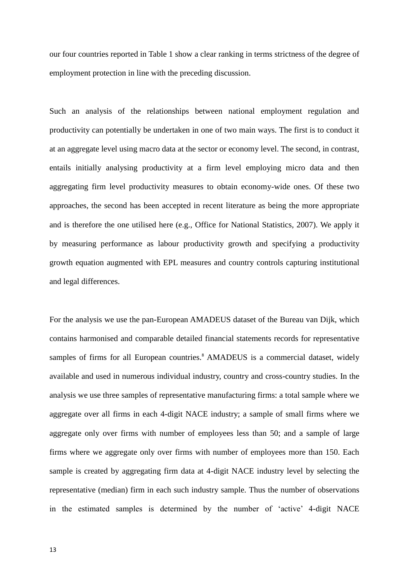our four countries reported in Table 1 show a clear ranking in terms strictness of the degree of employment protection in line with the preceding discussion.

Such an analysis of the relationships between national employment regulation and productivity can potentially be undertaken in one of two main ways. The first is to conduct it at an aggregate level using macro data at the sector or economy level. The second, in contrast, entails initially analysing productivity at a firm level employing micro data and then aggregating firm level productivity measures to obtain economy-wide ones. Of these two approaches, the second has been accepted in recent literature as being the more appropriate and is therefore the one utilised here (e.g., Office for National Statistics, 2007). We apply it by measuring performance as labour productivity growth and specifying a productivity growth equation augmented with EPL measures and country controls capturing institutional and legal differences.

For the analysis we use the pan-European AMADEUS dataset of the Bureau van Dijk, which contains harmonised and comparable detailed financial statements records for representative samples of firms for all European countries.<sup>8</sup> AMADEUS is a commercial dataset, widely available and used in numerous individual industry, country and cross-country studies. In the analysis we use three samples of representative manufacturing firms: a total sample where we aggregate over all firms in each 4-digit NACE industry; a sample of small firms where we aggregate only over firms with number of employees less than 50; and a sample of large firms where we aggregate only over firms with number of employees more than 150. Each sample is created by aggregating firm data at 4-digit NACE industry level by selecting the representative (median) firm in each such industry sample. Thus the number of observations in the estimated samples is determined by the number of 'active' 4-digit NACE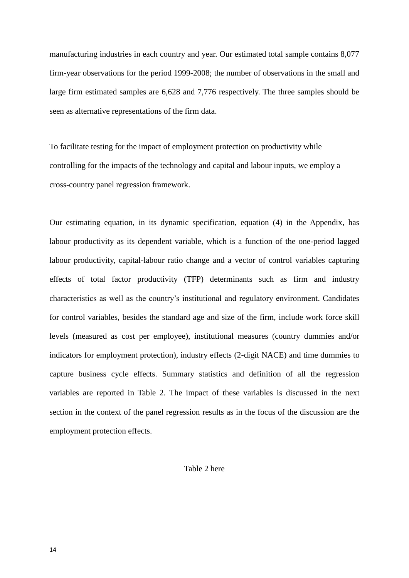manufacturing industries in each country and year. Our estimated total sample contains 8,077 firm-year observations for the period 1999-2008; the number of observations in the small and large firm estimated samples are 6,628 and 7,776 respectively. The three samples should be seen as alternative representations of the firm data.

To facilitate testing for the impact of employment protection on productivity while controlling for the impacts of the technology and capital and labour inputs, we employ a cross-country panel regression framework.

Our estimating equation, in its dynamic specification, equation (4) in the Appendix, has labour productivity as its dependent variable, which is a function of the one-period lagged labour productivity, capital-labour ratio change and a vector of control variables capturing effects of total factor productivity (TFP) determinants such as firm and industry characteristics as well as the country's institutional and regulatory environment. Candidates for control variables, besides the standard age and size of the firm, include work force skill levels (measured as cost per employee), institutional measures (country dummies and/or indicators for employment protection), industry effects (2-digit NACE) and time dummies to capture business cycle effects. Summary statistics and definition of all the regression variables are reported in Table 2. The impact of these variables is discussed in the next section in the context of the panel regression results as in the focus of the discussion are the employment protection effects.

Table 2 here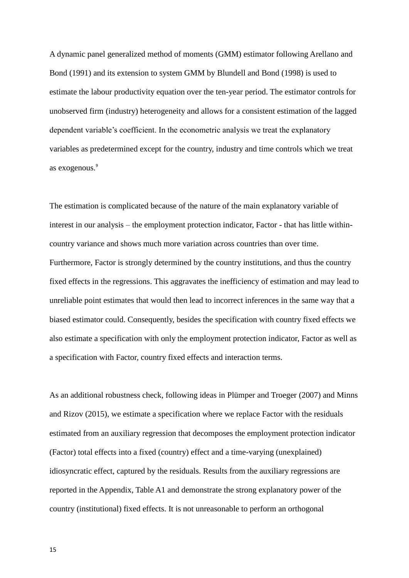A dynamic panel generalized method of moments (GMM) estimator following Arellano and Bond (1991) and its extension to system GMM by Blundell and Bond (1998) is used to estimate the labour productivity equation over the ten-year period. The estimator controls for unobserved firm (industry) heterogeneity and allows for a consistent estimation of the lagged dependent variable's coefficient. In the econometric analysis we treat the explanatory variables as predetermined except for the country, industry and time controls which we treat as exogenous.<sup>9</sup>

The estimation is complicated because of the nature of the main explanatory variable of interest in our analysis – the employment protection indicator, Factor - that has little withincountry variance and shows much more variation across countries than over time. Furthermore, Factor is strongly determined by the country institutions, and thus the country fixed effects in the regressions. This aggravates the inefficiency of estimation and may lead to unreliable point estimates that would then lead to incorrect inferences in the same way that a biased estimator could. Consequently, besides the specification with country fixed effects we also estimate a specification with only the employment protection indicator, Factor as well as a specification with Factor, country fixed effects and interaction terms.

As an additional robustness check, following ideas in Plümper and Troeger (2007) and Minns and Rizov (2015), we estimate a specification where we replace Factor with the residuals estimated from an auxiliary regression that decomposes the employment protection indicator (Factor) total effects into a fixed (country) effect and a time-varying (unexplained) idiosyncratic effect, captured by the residuals. Results from the auxiliary regressions are reported in the Appendix, Table A1 and demonstrate the strong explanatory power of the country (institutional) fixed effects. It is not unreasonable to perform an orthogonal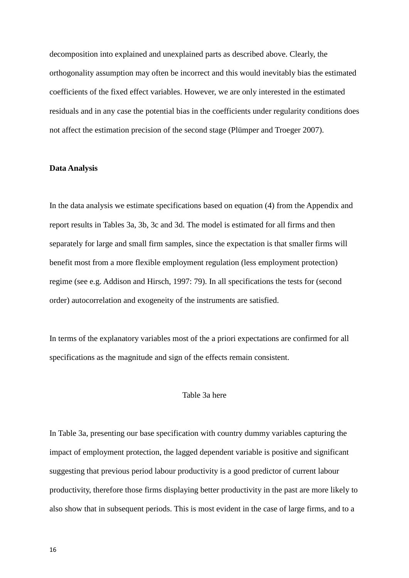decomposition into explained and unexplained parts as described above. Clearly, the orthogonality assumption may often be incorrect and this would inevitably bias the estimated coefficients of the fixed effect variables. However, we are only interested in the estimated residuals and in any case the potential bias in the coefficients under regularity conditions does not affect the estimation precision of the second stage (Plümper and Troeger 2007).

### **Data Analysis**

In the data analysis we estimate specifications based on equation (4) from the Appendix and report results in Tables 3a, 3b, 3c and 3d. The model is estimated for all firms and then separately for large and small firm samples, since the expectation is that smaller firms will benefit most from a more flexible employment regulation (less employment protection) regime (see e.g. Addison and Hirsch, 1997: 79). In all specifications the tests for (second order) autocorrelation and exogeneity of the instruments are satisfied.

In terms of the explanatory variables most of the a priori expectations are confirmed for all specifications as the magnitude and sign of the effects remain consistent.

### Table 3a here

In Table 3a, presenting our base specification with country dummy variables capturing the impact of employment protection, the lagged dependent variable is positive and significant suggesting that previous period labour productivity is a good predictor of current labour productivity, therefore those firms displaying better productivity in the past are more likely to also show that in subsequent periods. This is most evident in the case of large firms, and to a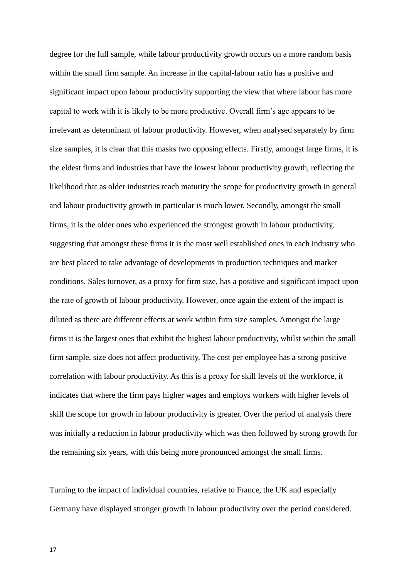degree for the full sample, while labour productivity growth occurs on a more random basis within the small firm sample. An increase in the capital-labour ratio has a positive and significant impact upon labour productivity supporting the view that where labour has more capital to work with it is likely to be more productive. Overall firm's age appears to be irrelevant as determinant of labour productivity. However, when analysed separately by firm size samples, it is clear that this masks two opposing effects. Firstly, amongst large firms, it is the eldest firms and industries that have the lowest labour productivity growth, reflecting the likelihood that as older industries reach maturity the scope for productivity growth in general and labour productivity growth in particular is much lower. Secondly, amongst the small firms, it is the older ones who experienced the strongest growth in labour productivity, suggesting that amongst these firms it is the most well established ones in each industry who are best placed to take advantage of developments in production techniques and market conditions. Sales turnover, as a proxy for firm size, has a positive and significant impact upon the rate of growth of labour productivity. However, once again the extent of the impact is diluted as there are different effects at work within firm size samples. Amongst the large firms it is the largest ones that exhibit the highest labour productivity, whilst within the small firm sample, size does not affect productivity. The cost per employee has a strong positive correlation with labour productivity. As this is a proxy for skill levels of the workforce, it indicates that where the firm pays higher wages and employs workers with higher levels of skill the scope for growth in labour productivity is greater. Over the period of analysis there was initially a reduction in labour productivity which was then followed by strong growth for the remaining six years, with this being more pronounced amongst the small firms.

Turning to the impact of individual countries, relative to France, the UK and especially Germany have displayed stronger growth in labour productivity over the period considered.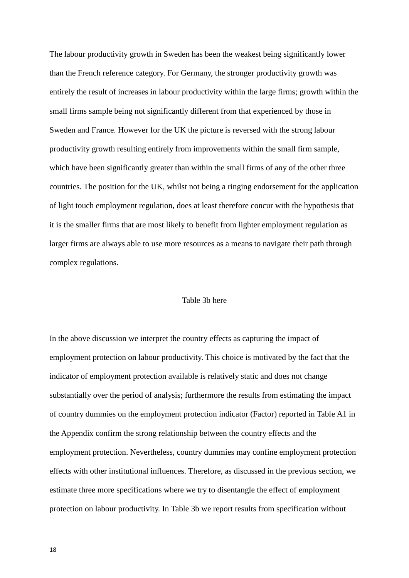The labour productivity growth in Sweden has been the weakest being significantly lower than the French reference category. For Germany, the stronger productivity growth was entirely the result of increases in labour productivity within the large firms; growth within the small firms sample being not significantly different from that experienced by those in Sweden and France. However for the UK the picture is reversed with the strong labour productivity growth resulting entirely from improvements within the small firm sample, which have been significantly greater than within the small firms of any of the other three countries. The position for the UK, whilst not being a ringing endorsement for the application of light touch employment regulation, does at least therefore concur with the hypothesis that it is the smaller firms that are most likely to benefit from lighter employment regulation as larger firms are always able to use more resources as a means to navigate their path through complex regulations.

## Table 3b here

In the above discussion we interpret the country effects as capturing the impact of employment protection on labour productivity. This choice is motivated by the fact that the indicator of employment protection available is relatively static and does not change substantially over the period of analysis; furthermore the results from estimating the impact of country dummies on the employment protection indicator (Factor) reported in Table A1 in the Appendix confirm the strong relationship between the country effects and the employment protection. Nevertheless, country dummies may confine employment protection effects with other institutional influences. Therefore, as discussed in the previous section, we estimate three more specifications where we try to disentangle the effect of employment protection on labour productivity. In Table 3b we report results from specification without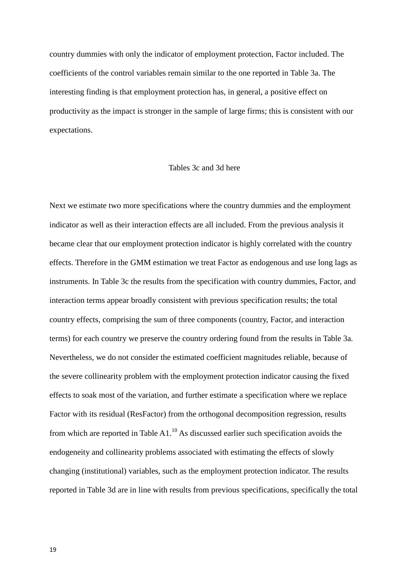country dummies with only the indicator of employment protection, Factor included. The coefficients of the control variables remain similar to the one reported in Table 3a. The interesting finding is that employment protection has, in general, a positive effect on productivity as the impact is stronger in the sample of large firms; this is consistent with our expectations.

### Tables 3c and 3d here

Next we estimate two more specifications where the country dummies and the employment indicator as well as their interaction effects are all included. From the previous analysis it became clear that our employment protection indicator is highly correlated with the country effects. Therefore in the GMM estimation we treat Factor as endogenous and use long lags as instruments. In Table 3c the results from the specification with country dummies, Factor, and interaction terms appear broadly consistent with previous specification results; the total country effects, comprising the sum of three components (country, Factor, and interaction terms) for each country we preserve the country ordering found from the results in Table 3a. Nevertheless, we do not consider the estimated coefficient magnitudes reliable, because of the severe collinearity problem with the employment protection indicator causing the fixed effects to soak most of the variation, and further estimate a specification where we replace Factor with its residual (ResFactor) from the orthogonal decomposition regression, results from which are reported in Table  $A1$ .<sup>10</sup> As discussed earlier such specification avoids the endogeneity and collinearity problems associated with estimating the effects of slowly changing (institutional) variables, such as the employment protection indicator. The results reported in Table 3d are in line with results from previous specifications, specifically the total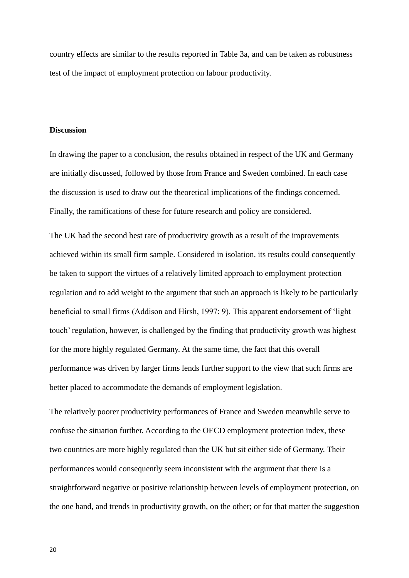country effects are similar to the results reported in Table 3a, and can be taken as robustness test of the impact of employment protection on labour productivity.

# **Discussion**

In drawing the paper to a conclusion, the results obtained in respect of the UK and Germany are initially discussed, followed by those from France and Sweden combined. In each case the discussion is used to draw out the theoretical implications of the findings concerned. Finally, the ramifications of these for future research and policy are considered.

The UK had the second best rate of productivity growth as a result of the improvements achieved within its small firm sample. Considered in isolation, its results could consequently be taken to support the virtues of a relatively limited approach to employment protection regulation and to add weight to the argument that such an approach is likely to be particularly beneficial to small firms (Addison and Hirsh, 1997: 9). This apparent endorsement of 'light touch' regulation, however, is challenged by the finding that productivity growth was highest for the more highly regulated Germany. At the same time, the fact that this overall performance was driven by larger firms lends further support to the view that such firms are better placed to accommodate the demands of employment legislation.

The relatively poorer productivity performances of France and Sweden meanwhile serve to confuse the situation further. According to the OECD employment protection index, these two countries are more highly regulated than the UK but sit either side of Germany. Their performances would consequently seem inconsistent with the argument that there is a straightforward negative or positive relationship between levels of employment protection, on the one hand, and trends in productivity growth, on the other; or for that matter the suggestion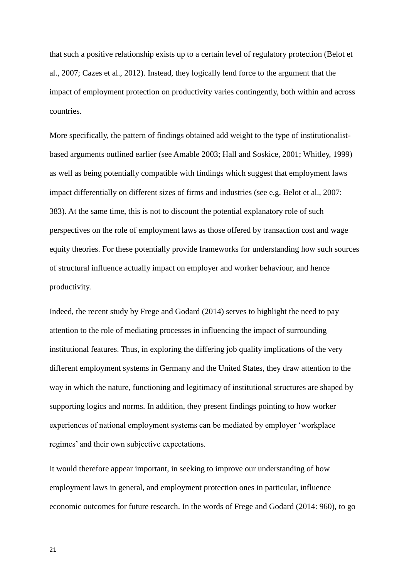that such a positive relationship exists up to a certain level of regulatory protection (Belot et al., 2007; Cazes et al., 2012). Instead, they logically lend force to the argument that the impact of employment protection on productivity varies contingently, both within and across countries.

More specifically, the pattern of findings obtained add weight to the type of institutionalistbased arguments outlined earlier (see Amable 2003; Hall and Soskice, 2001; Whitley, 1999) as well as being potentially compatible with findings which suggest that employment laws impact differentially on different sizes of firms and industries (see e.g. Belot et al., 2007: 383). At the same time, this is not to discount the potential explanatory role of such perspectives on the role of employment laws as those offered by transaction cost and wage equity theories. For these potentially provide frameworks for understanding how such sources of structural influence actually impact on employer and worker behaviour, and hence productivity.

Indeed, the recent study by Frege and Godard (2014) serves to highlight the need to pay attention to the role of mediating processes in influencing the impact of surrounding institutional features. Thus, in exploring the differing job quality implications of the very different employment systems in Germany and the United States, they draw attention to the way in which the nature, functioning and legitimacy of institutional structures are shaped by supporting logics and norms. In addition, they present findings pointing to how worker experiences of national employment systems can be mediated by employer 'workplace regimes' and their own subjective expectations.

It would therefore appear important, in seeking to improve our understanding of how employment laws in general, and employment protection ones in particular, influence economic outcomes for future research. In the words of Frege and Godard (2014: 960), to go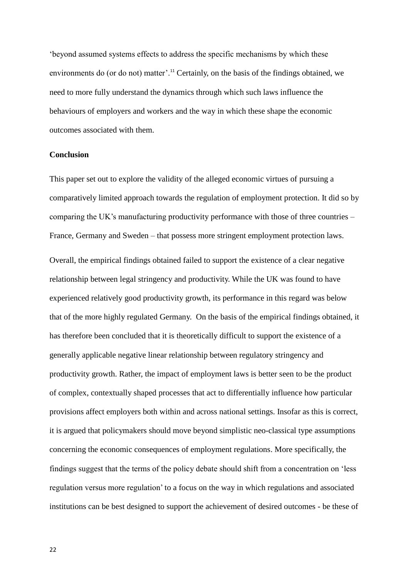'beyond assumed systems effects to address the specific mechanisms by which these environments do (or do not) matter'.<sup>11</sup> Certainly, on the basis of the findings obtained, we need to more fully understand the dynamics through which such laws influence the behaviours of employers and workers and the way in which these shape the economic outcomes associated with them.

### **Conclusion**

This paper set out to explore the validity of the alleged economic virtues of pursuing a comparatively limited approach towards the regulation of employment protection. It did so by comparing the UK's manufacturing productivity performance with those of three countries – France, Germany and Sweden – that possess more stringent employment protection laws.

Overall, the empirical findings obtained failed to support the existence of a clear negative relationship between legal stringency and productivity. While the UK was found to have experienced relatively good productivity growth, its performance in this regard was below that of the more highly regulated Germany. On the basis of the empirical findings obtained, it has therefore been concluded that it is theoretically difficult to support the existence of a generally applicable negative linear relationship between regulatory stringency and productivity growth. Rather, the impact of employment laws is better seen to be the product of complex, contextually shaped processes that act to differentially influence how particular provisions affect employers both within and across national settings. Insofar as this is correct, it is argued that policymakers should move beyond simplistic neo-classical type assumptions concerning the economic consequences of employment regulations. More specifically, the findings suggest that the terms of the policy debate should shift from a concentration on 'less regulation versus more regulation' to a focus on the way in which regulations and associated institutions can be best designed to support the achievement of desired outcomes - be these of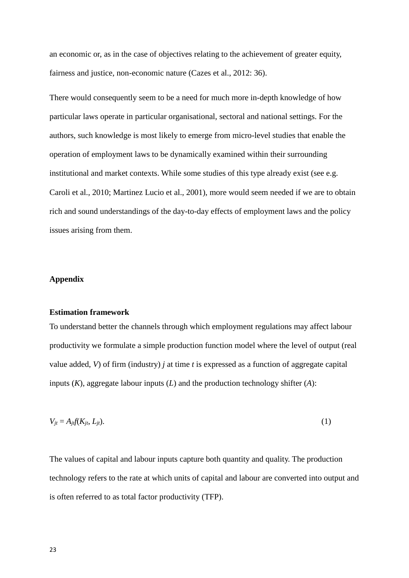an economic or, as in the case of objectives relating to the achievement of greater equity, fairness and justice, non-economic nature (Cazes et al., 2012: 36).

There would consequently seem to be a need for much more in-depth knowledge of how particular laws operate in particular organisational, sectoral and national settings. For the authors, such knowledge is most likely to emerge from micro-level studies that enable the operation of employment laws to be dynamically examined within their surrounding institutional and market contexts. While some studies of this type already exist (see e.g. Caroli et al., 2010; Martinez Lucio et al., 2001), more would seem needed if we are to obtain rich and sound understandings of the day-to-day effects of employment laws and the policy issues arising from them.

# **Appendix**

### **Estimation framework**

To understand better the channels through which employment regulations may affect labour productivity we formulate a simple production function model where the level of output (real value added, *V*) of firm (industry) *j* at time *t* is expressed as a function of aggregate capital inputs (*K*), aggregate labour inputs (*L*) and the production technology shifter (*A*):

$$
V_{jt} = A_{jt}(K_{jt}, L_{jt}).
$$
\n<sup>(1)</sup>

The values of capital and labour inputs capture both quantity and quality. The production technology refers to the rate at which units of capital and labour are converted into output and is often referred to as total factor productivity (TFP).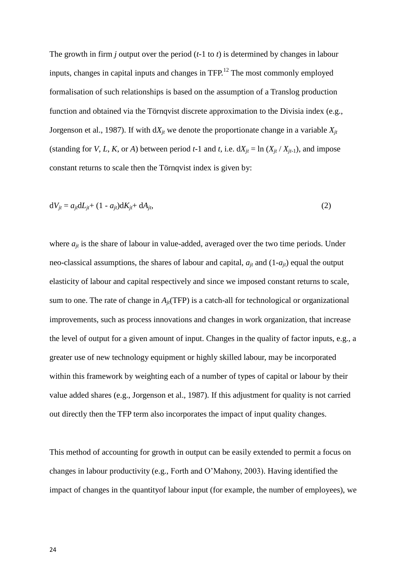The growth in firm *j* output over the period (*t*-1 to *t*) is determined by changes in labour inputs, changes in capital inputs and changes in  $TFP<sup>12</sup>$ . The most commonly employed formalisation of such relationships is based on the assumption of a Translog production function and obtained via the Törnqvist discrete approximation to the Divisia index (e.g., Jorgenson et al., 1987). If with  $dX_i$  we denote the proportionate change in a variable  $X_i$ (standing for *V*, *L*, *K*, or *A*) between period *t*-1 and *t*, i.e.  $dX_{jt} = \ln (X_{jt} / X_{jt-1})$ , and impose constant returns to scale then the Törnqvist index is given by:

$$
dV_{jt} = a_{jt}dL_{jt} + (1 - a_{jt})dK_{jt} + dA_{jt},
$$
\n(2)

where  $a_{it}$  is the share of labour in value-added, averaged over the two time periods. Under neo-classical assumptions, the shares of labour and capital,  $a_{it}$  and  $(1-a_{it})$  equal the output elasticity of labour and capital respectively and since we imposed constant returns to scale, sum to one. The rate of change in  $A_{it}$ (TFP) is a catch-all for technological or organizational improvements, such as process innovations and changes in work organization, that increase the level of output for a given amount of input. Changes in the quality of factor inputs, e.g., a greater use of new technology equipment or highly skilled labour, may be incorporated within this framework by weighting each of a number of types of capital or labour by their value added shares (e.g., Jorgenson et al., 1987). If this adjustment for quality is not carried out directly then the TFP term also incorporates the impact of input quality changes.

This method of accounting for growth in output can be easily extended to permit a focus on changes in labour productivity (e.g., Forth and O'Mahony, 2003). Having identified the impact of changes in the quantityof labour input (for example, the number of employees), we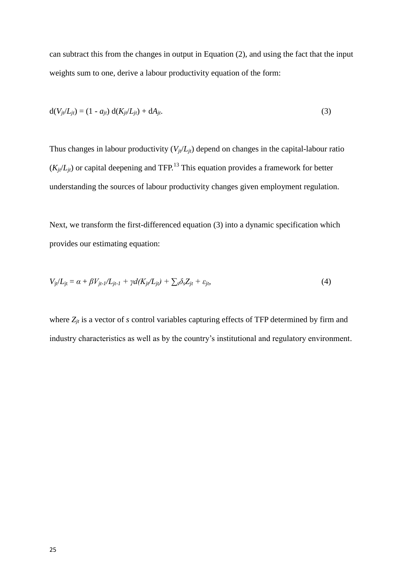can subtract this from the changes in output in Equation (2), and using the fact that the input weights sum to one, derive a labour productivity equation of the form:

$$
d(V_{jt}/L_{jt}) = (1 - a_{jt}) d(K_{jt}/L_{jt}) + dA_{jt}.
$$
\n(3)

Thus changes in labour productivity  $(V_{it}/L_{it})$  depend on changes in the capital-labour ratio  $(K_{it}/L_{it})$  or capital deepening and TFP.<sup>13</sup> This equation provides a framework for better understanding the sources of labour productivity changes given employment regulation.

Next, we transform the first-differenced equation (3) into a dynamic specification which provides our estimating equation:

$$
V_{jt}/L_{jt} = \alpha + \beta V_{jt-l}/L_{jt-l} + \gamma d(K_{jt}/L_{jt}) + \sum_{s} \delta_s Z_{jt} + \varepsilon_{jt},
$$
\n(4)

where  $Z_{it}$  is a vector of *s* control variables capturing effects of TFP determined by firm and industry characteristics as well as by the country's institutional and regulatory environment.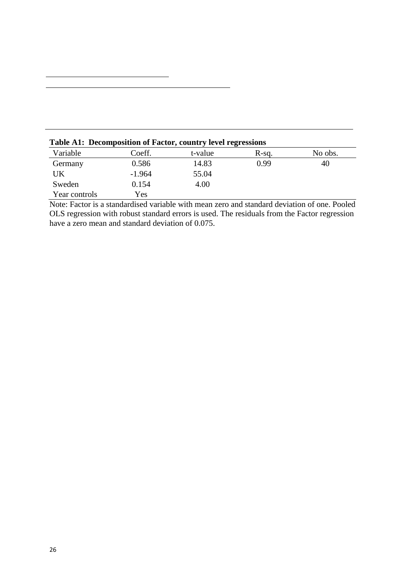| Variable      | Coeff.   | t-value | $R-sq.$ | No obs. |  |  |  |  |
|---------------|----------|---------|---------|---------|--|--|--|--|
| Germany       | 0.586    | 14.83   | 0.99    | 40      |  |  |  |  |
| UK            | $-1.964$ | 55.04   |         |         |  |  |  |  |
| Sweden        | 0.154    | 4.00    |         |         |  |  |  |  |
| Year controls | Yes      |         |         |         |  |  |  |  |

**Table A1: Decomposition of Factor, country level regressions**

Note: Factor is a standardised variable with mean zero and standard deviation of one. Pooled OLS regression with robust standard errors is used. The residuals from the Factor regression have a zero mean and standard deviation of 0.075.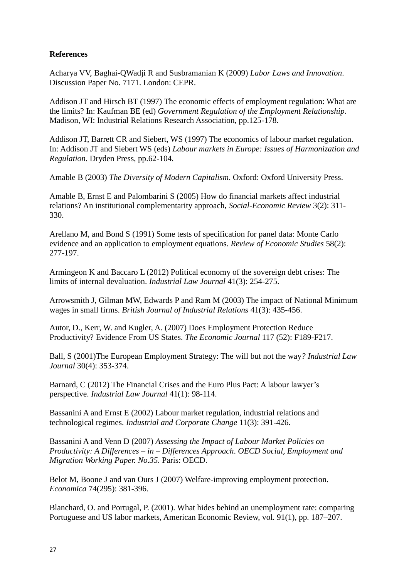# **References**

Acharya VV, Baghai-QWadji R and Susbramanian K (2009) *Labor Laws and Innovation*. Discussion Paper No. 7171. London: CEPR.

Addison JT and Hirsch BT (1997) The economic effects of employment regulation: What are the limits? In: Kaufman BE (ed) *Government Regulation of the Employment Relationship*. Madison, WI: Industrial Relations Research Association, pp.125-178.

Addison JT, Barrett CR and Siebert, WS (1997) The economics of labour market regulation. In: Addison JT and Siebert WS (eds) *Labour markets in Europe: Issues of Harmonization and Regulation*. Dryden Press, pp.62-104.

Amable B (2003) *The Diversity of Modern Capitalism*. Oxford: Oxford University Press.

Amable B, Ernst E and Palombarini S (2005) How do financial markets affect industrial relations? An institutional complementarity approach, *Social-Economic Review* 3(2): 311- 330.

Arellano M, and Bond S (1991) Some tests of specification for panel data: Monte Carlo evidence and an application to employment equations. *Review of Economic Studies* 58(2): 277-197.

Armingeon K and Baccaro L (2012) Political economy of the sovereign debt crises: The limits of internal devaluation. *Industrial Law Journal* 41(3): 254-275.

Arrowsmith J, Gilman MW, Edwards P and Ram M (2003) The impact of National Minimum wages in small firms. *British Journal of Industrial Relations* 41(3): 435-456.

Autor, D., Kerr, W. and Kugler, A. (2007) Does Employment Protection Reduce Productivity? Evidence From US States. *The Economic Journal* 117 (52): F189-F217.

Ball, S (2001)The European Employment Strategy: The will but not the way*? Industrial Law Journal* 30(4): 353-374.

Barnard, C (2012) The Financial Crises and the Euro Plus Pact: A labour lawyer's perspective. *Industrial Law Journal* 41(1): 98-114.

Bassanini A and Ernst E (2002) Labour market regulation, industrial relations and technological regimes. *Industrial and Corporate Change* 11(3): 391-426.

Bassanini A and Venn D (2007) *Assessing the Impact of Labour Market Policies on Productivity: A Differences – in – Differences Approach*. *OECD Social, Employment and Migration Working Paper. No.35.* Paris: OECD.

Belot M, Boone J and van Ours J (2007) Welfare-improving employment protection. *Economica* 74(295): 381-396.

Blanchard, O. and Portugal, P. (2001). What hides behind an unemployment rate: comparing Portuguese and US labor markets, American Economic Review, vol. 91(1), pp. 187–207.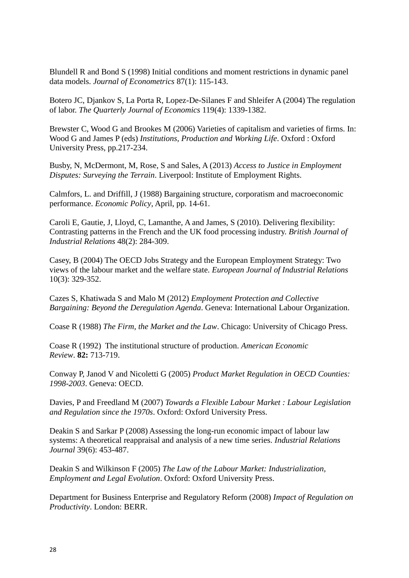Blundell R and Bond S (1998) Initial conditions and moment restrictions in dynamic panel data models. *Journal of Econometrics* 87(1): 115-143.

Botero JC, Djankov S, La Porta R, Lopez-De-Silanes F and Shleifer A (2004) The regulation of labor. *The Quarterly Journal of Economics* 119(4): 1339-1382.

Brewster C, Wood G and Brookes M (2006) Varieties of capitalism and varieties of firms. In: Wood G and James P (eds) *Institutions, Production and Working Life*. Oxford : Oxford University Press, pp.217-234.

Busby, N, McDermont, M, Rose, S and Sales, A (2013) *Access to Justice in Employment Disputes: Surveying the Terrain*. Liverpool: Institute of Employment Rights.

Calmfors, L. and Driffill, J (1988) Bargaining structure, corporatism and macroeconomic performance. *Economic Policy*, April, pp. 14-61.

Caroli E, Gautie, J, Lloyd, C, Lamanthe, A and James, S (2010). Delivering flexibility: Contrasting patterns in the French and the UK food processing industry. *British Journal of Industrial Relations* 48(2): 284-309.

Casey, B (2004) The OECD Jobs Strategy and the European Employment Strategy: Two views of the labour market and the welfare state. *European Journal of Industrial Relations* 10(3): 329-352.

Cazes S, Khatiwada S and Malo M (2012) *Employment Protection and Collective Bargaining: Beyond the Deregulation Agenda*. Geneva: International Labour Organization.

Coase R (1988) *The Firm, the Market and the Law*. Chicago: University of Chicago Press.

Coase R (1992) The institutional structure of production. *American Economic Review*. **82:** 713-719.

Conway P, Janod V and Nicoletti G (2005) *Product Market Regulation in OECD Counties: 1998-2003*. Geneva: OECD.

Davies, P and Freedland M (2007) *Towards a Flexible Labour Market : Labour Legislation and Regulation since the 1970s*. Oxford: Oxford University Press.

Deakin S and Sarkar P (2008) Assessing the long-run economic impact of labour law systems: A theoretical reappraisal and analysis of a new time series. *Industrial Relations Journal* 39(6): 453-487.

Deakin S and Wilkinson F (2005) *The Law of the Labour Market: Industrialization, Employment and Legal Evolution*. Oxford: Oxford University Press.

Department for Business Enterprise and Regulatory Reform (2008) *Impact of Regulation on Productivity*. London: BERR.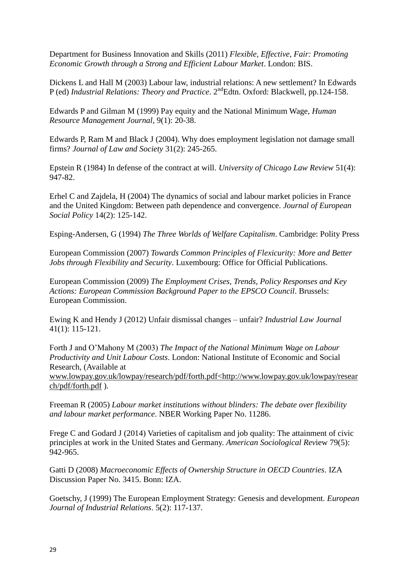Department for Business Innovation and Skills (2011) *Flexible, Effective, Fair: Promoting Economic Growth through a Strong and Efficient Labour Market*. London: BIS.

Dickens L and Hall M (2003) Labour law, industrial relations: A new settlement? In Edwards P (ed) *Industrial Relations: Theory and Practice*. 2<sup>nd</sup>Edtn. Oxford: Blackwell, pp.124-158.

Edwards P and Gilman M (1999) Pay equity and the National Minimum Wage, *Human Resource Management Journal*, 9(1): 20-38.

Edwards P, Ram M and Black J (2004). Why does employment legislation not damage small firms? *Journal of Law and Society* 31(2): 245-265.

Epstein R (1984) In defense of the contract at will. *University of Chicago Law Review* 51(4): 947-82.

Erhel C and Zajdela, H (2004) The dynamics of social and labour market policies in France and the United Kingdom: Between path dependence and convergence. *Journal of European Social Policy* 14(2): 125-142.

Esping-Andersen, G (1994) *The Three Worlds of Welfare Capitalism*. Cambridge: Polity Press

European Commission (2007) *Towards Common Principles of Flexicurity: More and Better Jobs through Flexibility and Security.* Luxembourg: Office for Official Publications.

European Commission (2009) *The Employment Crises, Trends, Policy Responses and Key Actions: European Commission Background Paper to the EPSCO Council*. Brussels: European Commission.

Ewing K and Hendy J (2012) Unfair dismissal changes – unfair? *Industrial Law Journal* 41(1): 115-121.

Forth J and O'Mahony M (2003) *The Impact of the National Minimum Wage on Labour Productivity and Unit Labour Costs*. London: National Institute of Economic and Social Research, (Available at

[www.lowpay.gov.uk/lowpay/research/pdf/forth.pdf<http://www.lowpay.gov.uk/lowpay/resear](http://www.lowpay.gov.uk/lowpay/research/pdf/forth.pdf%3chttp:/www.lowpay.gov.uk/lowpay/research/pdf/forth.pdf) [ch/pdf/forth.pdf](http://www.lowpay.gov.uk/lowpay/research/pdf/forth.pdf%3chttp:/www.lowpay.gov.uk/lowpay/research/pdf/forth.pdf) ).

Freeman R (2005) *Labour market institutions without blinders: The debate over flexibility and labour market performance*. NBER Working Paper No. 11286.

Frege C and Godard J (2014) Varieties of capitalism and job quality: The attainment of civic principles at work in the United States and Germany. *American Sociological Rev*iew 79(5): 942-965.

Gatti D (2008) *Macroeconomic Effects of Ownership Structure in OECD Countries*. IZA Discussion Paper No. 3415. Bonn: IZA.

Goetschy, J (1999) The European Employment Strategy: Genesis and development. *European Journal of Industrial Relations*. 5(2): 117-137.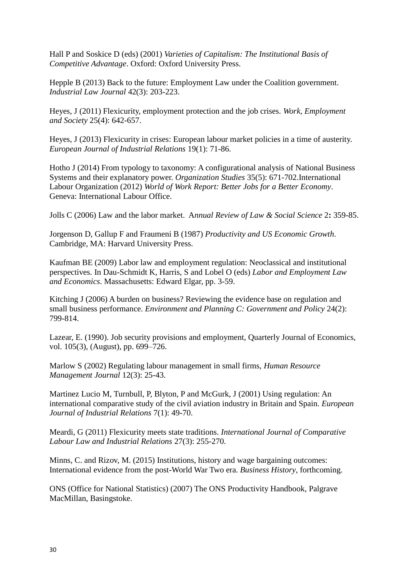Hall P and Soskice D (eds) (2001) *Varieties of Capitalism: The Institutional Basis of Competitive Advantage*. Oxford: Oxford University Press.

Hepple B (2013) Back to the future: Employment Law under the Coalition government. *Industrial Law Journal* 42(3): 203-223.

Heyes, J (2011) Flexicurity, employment protection and the job crises. *Work, Employment and Society* 25(4): 642-657.

Heyes, J (2013) Flexicurity in crises: European labour market policies in a time of austerity. *European Journal of Industrial Relations* 19(1): 71-86.

Hotho J (2014) From typology to taxonomy: A configurational analysis of National Business Systems and their explanatory power. *Organization Studies* 35(5): 671-702.International Labour Organization (2012) *World of Work Report: Better Jobs for a Better Economy*. Geneva: International Labour Office.

Jolls C (2006) Law and the labor market. A*nnual Review of Law & Social Science* 2**:** 359-85.

Jorgenson D, Gallup F and Fraumeni B (1987) *Productivity and US Economic Growth*. Cambridge, MA: Harvard University Press.

Kaufman BE (2009) Labor law and employment regulation: Neoclassical and institutional perspectives. In Dau-Schmidt K, Harris, S and Lobel O (eds) *Labor and Employment Law and Economics*. Massachusetts: Edward Elgar, pp. 3-59.

Kitching J (2006) A burden on business? Reviewing the evidence base on regulation and small business performance. *Environment and Planning C: Government and Policy* 24(2): 799-814.

Lazear, E. (1990). Job security provisions and employment, Quarterly Journal of Economics, vol. 105(3), (August), pp. 699–726.

Marlow S (2002) Regulating labour management in small firms, *Human Resource Management Journal* 12(3): 25-43.

Martinez Lucio M, Turnbull, P, Blyton, P and McGurk, J (2001) Using regulation: An international comparative study of the civil aviation industry in Britain and Spain. *European Journal of Industrial Relations* 7(1): 49-70.

Meardi, G (2011) Flexicurity meets state traditions. *International Journal of Comparative Labour Law and Industrial Relations* 27(3): 255-270.

Minns, C. and Rizov, M. (2015) Institutions, history and wage bargaining outcomes: International evidence from the post-World War Two era. *Business History*, forthcoming.

ONS (Office for National Statistics) (2007) The ONS Productivity Handbook, Palgrave MacMillan, Basingstoke.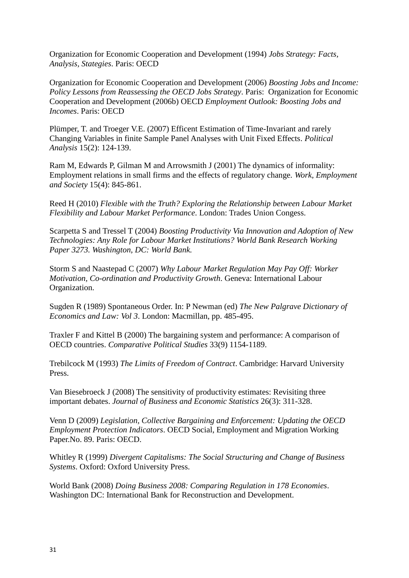Organization for Economic Cooperation and Development (1994) *Jobs Strategy: Facts, Analysis, Stategies*. Paris: OECD

Organization for Economic Cooperation and Development (2006) *Boosting Jobs and Income: Policy Lessons from Reassessing the OECD Jobs Strategy*. Paris: Organization for Economic Cooperation and Development (2006b) OECD *Employment Outlook: Boosting Jobs and Incomes*. Paris: OECD

Plümper, T. and Troeger V.E. (2007) Efficent Estimation of Time-Invariant and rarely Changing Variables in finite Sample Panel Analyses with Unit Fixed Effects. *Political Analysis* 15(2): 124-139.

Ram M, Edwards P, Gilman M and Arrowsmith J (2001) The dynamics of informality: Employment relations in small firms and the effects of regulatory change. *Work, Employment and Society* 15(4): 845-861.

Reed H (2010) *Flexible with the Truth? Exploring the Relationship between Labour Market Flexibility and Labour Market Performance*. London: Trades Union Congess.

Scarpetta S and Tressel T (2004) *Boosting Productivity Via Innovation and Adoption of New Technologies: Any Role for Labour Market Institutions? World Bank Research Working Paper 3273. Washington, DC: World Bank.*

Storm S and Naastepad C (2007) *Why Labour Market Regulation May Pay Off: Worker Motivation, Co-ordination and Productivity Growth*. Geneva: International Labour Organization.

Sugden R (1989) Spontaneous Order. In: P Newman (ed) *The New Palgrave Dictionary of Economics and Law: Vol 3*. London: Macmillan, pp. 485-495.

Traxler F and Kittel B (2000) The bargaining system and performance: A comparison of OECD countries. *Comparative Political Studies* 33(9) 1154-1189.

Trebilcock M (1993) *The Limits of Freedom of Contract*. Cambridge: Harvard University Press.

Van Biesebroeck J (2008) The sensitivity of productivity estimates: Revisiting three important debates. *Journal of Business and Economic Statistics* 26(3): 311-328.

Venn D (2009) *Legislation, Collective Bargaining and Enforcement: Updating the OECD Employment Protection Indicators*. OECD Social, Employment and Migration Working Paper.No. 89. Paris: OECD*.*

Whitley R (1999) *Divergent Capitalisms: The Social Structuring and Change of Business Systems*. Oxford: Oxford University Press.

World Bank (2008) *Doing Business 2008: Comparing Regulation in 178 Economies*. Washington DC: International Bank for Reconstruction and Development.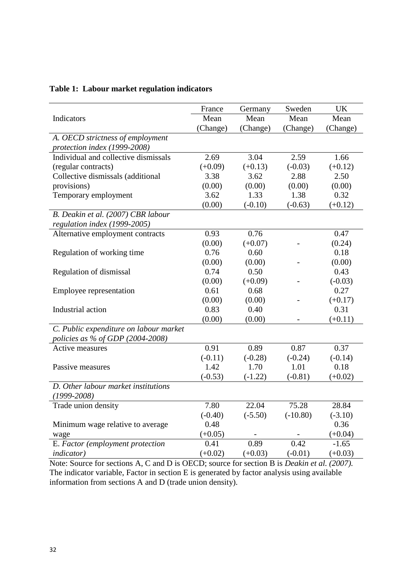|                                        | France    | Germany   | Sweden     | UK        |
|----------------------------------------|-----------|-----------|------------|-----------|
| Indicators                             | Mean      | Mean      | Mean       | Mean      |
|                                        | (Change)  | (Change)  | (Change)   | (Change)  |
| A. OECD strictness of employment       |           |           |            |           |
| protection index (1999-2008)           |           |           |            |           |
| Individual and collective dismissals   | 2.69      | 3.04      | 2.59       | 1.66      |
| (regular contracts)                    | $(+0.09)$ | $(+0.13)$ | $(-0.03)$  | $(+0.12)$ |
| Collective dismissals (additional      | 3.38      | 3.62      | 2.88       | 2.50      |
| provisions)                            | (0.00)    | (0.00)    | (0.00)     | (0.00)    |
| Temporary employment                   | 3.62      | 1.33      | 1.38       | 0.32      |
|                                        | (0.00)    | $(-0.10)$ | $(-0.63)$  | $(+0.12)$ |
| B. Deakin et al. (2007) CBR labour     |           |           |            |           |
| regulation index (1999-2005)           |           |           |            |           |
| Alternative employment contracts       | 0.93      | 0.76      |            | 0.47      |
|                                        | (0.00)    | $(+0.07)$ |            | (0.24)    |
| Regulation of working time             | 0.76      | 0.60      |            | 0.18      |
|                                        | (0.00)    | (0.00)    |            | (0.00)    |
| Regulation of dismissal                | 0.74      | 0.50      |            | 0.43      |
|                                        | (0.00)    | $(+0.09)$ |            | $(-0.03)$ |
| Employee representation                | 0.61      | 0.68      |            | 0.27      |
|                                        | (0.00)    | (0.00)    |            | $(+0.17)$ |
| Industrial action                      | 0.83      | 0.40      |            | 0.31      |
|                                        | (0.00)    | (0.00)    |            | $(+0.11)$ |
| C. Public expenditure on labour market |           |           |            |           |
| policies as % of GDP (2004-2008)       |           |           |            |           |
| Active measures                        | 0.91      | 0.89      | 0.87       | 0.37      |
|                                        | $(-0.11)$ | $(-0.28)$ | $(-0.24)$  | $(-0.14)$ |
| Passive measures                       | 1.42      | 1.70      | 1.01       | 0.18      |
|                                        | $(-0.53)$ | $(-1.22)$ | $(-0.81)$  | $(+0.02)$ |
| D. Other labour market institutions    |           |           |            |           |
| $(1999 - 2008)$                        |           |           |            |           |
| Trade union density                    | 7.80      | 22.04     | 75.28      | 28.84     |
|                                        | $(-0.40)$ | $(-5.50)$ | $(-10.80)$ | $(-3.10)$ |
| Minimum wage relative to average       | 0.48      |           |            | 0.36      |
| wage                                   | $(+0.05)$ |           |            | $(+0.04)$ |
| E. Factor (employment protection       | 0.41      | 0.89      | 0.42       | $-1.65$   |
| <i>indicator</i> )                     | $(+0.02)$ | $(+0.03)$ | $(-0.01)$  | $(+0.03)$ |

# **Table 1: Labour market regulation indicators**

Note: Source for sections A, C and D is OECD; source for section B is *Deakin et al. (2007).*  The indicator variable, Factor in section E is generated by factor analysis using available information from sections A and D (trade union density).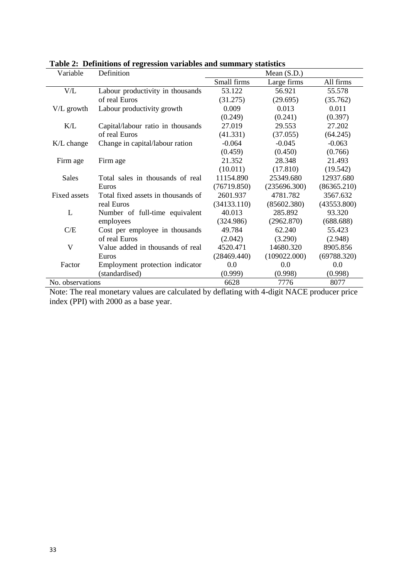| Variable         | Definition                         | Mean $(S.D.)$ |              |             |
|------------------|------------------------------------|---------------|--------------|-------------|
|                  |                                    | Small firms   | Large firms  | All firms   |
| V/L              | Labour productivity in thousands   | 53.122        | 56.921       | 55.578      |
|                  | of real Euros                      | (31.275)      | (29.695)     | (35.762)    |
| V/L growth       | Labour productivity growth         | 0.009         | 0.013        | 0.011       |
|                  |                                    | (0.249)       | (0.241)      | (0.397)     |
| K/L              | Capital/labour ratio in thousands  | 27.019        | 29.553       | 27.202      |
|                  | of real Euros                      | (41.331)      | (37.055)     | (64.245)    |
| K/L change       | Change in capital/labour ration    | $-0.064$      | $-0.045$     | $-0.063$    |
|                  |                                    | (0.459)       | (0.450)      | (0.766)     |
| Firm age         | Firm age                           | 21.352        | 28.348       | 21.493      |
|                  |                                    | (10.011)      | (17.810)     | (19.542)    |
| <b>Sales</b>     | Total sales in thousands of real   | 11154.890     | 25349.680    | 12937.680   |
|                  | Euros                              | (76719.850)   | (235696.300) | (86365.210) |
| Fixed assets     | Total fixed assets in thousands of | 2601.937      | 4781.782     | 3567.632    |
|                  | real Euros                         | (34133.110)   | (85602.380)  | (43553.800) |
| L                | Number of full-time equivalent     | 40.013        | 285.892      | 93.320      |
|                  | employees                          | (324.986)     | (2962.870)   | (688.688)   |
| C/E              | Cost per employee in thousands     | 49.784        | 62.240       | 55.423      |
|                  | of real Euros                      | (2.042)       | (3.290)      | (2.948)     |
| V                | Value added in thousands of real   | 4520.471      | 14680.320    | 8905.856    |
|                  | Euros                              | (28469.440)   | (109022.000) | (69788.320) |
| Factor           | Employment protection indicator    | 0.0           | 0.0          | 0.0         |
|                  | (standardised)                     | (0.999)       | (0.998)      | (0.998)     |
| No. observations |                                    | 6628          | 7776         | 8077        |

|  | Table 2: Definitions of regression variables and summary statistics |  |  |  |  |
|--|---------------------------------------------------------------------|--|--|--|--|
|--|---------------------------------------------------------------------|--|--|--|--|

Note: The real monetary values are calculated by deflating with 4-digit NACE producer price index (PPI) with 2000 as a base year.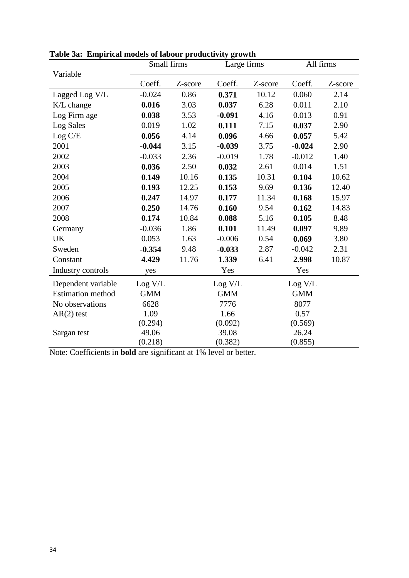| $\mu$ and $\mu$ and $\mu$ and $\mu$ and $\mu$ and $\mu$ and $\mu$<br>Variable | Small firms |         | Large firms   |         | All firms  |         |
|-------------------------------------------------------------------------------|-------------|---------|---------------|---------|------------|---------|
|                                                                               | Coeff.      | Z-score | Coeff.        | Z-score | Coeff.     | Z-score |
| Lagged Log V/L                                                                | $-0.024$    | 0.86    | 0.371         | 10.12   | 0.060      | 2.14    |
| K/L change                                                                    | 0.016       | 3.03    | 0.037         | 6.28    | 0.011      | 2.10    |
| Log Firm age                                                                  | 0.038       | 3.53    | $-0.091$      | 4.16    | 0.013      | 0.91    |
| Log Sales                                                                     | 0.019       | 1.02    | 0.111         | 7.15    | 0.037      | 2.90    |
| Log C/E                                                                       | 0.056       | 4.14    | 0.096         | 4.66    | 0.057      | 5.42    |
| 2001                                                                          | $-0.044$    | 3.15    | $-0.039$      | 3.75    | $-0.024$   | 2.90    |
| 2002                                                                          | $-0.033$    | 2.36    | $-0.019$      | 1.78    | $-0.012$   | 1.40    |
| 2003                                                                          | 0.036       | 2.50    | 0.032         | 2.61    | 0.014      | 1.51    |
| 2004                                                                          | 0.149       | 10.16   | 0.135         | 10.31   | 0.104      | 10.62   |
| 2005                                                                          | 0.193       | 12.25   | 0.153         | 9.69    | 0.136      | 12.40   |
| 2006                                                                          | 0.247       | 14.97   | 0.177         | 11.34   | 0.168      | 15.97   |
| 2007                                                                          | 0.250       | 14.76   | 0.160         | 9.54    | 0.162      | 14.83   |
| 2008                                                                          | 0.174       | 10.84   | 0.088         | 5.16    | 0.105      | 8.48    |
| Germany                                                                       | $-0.036$    | 1.86    | 0.101         | 11.49   | 0.097      | 9.89    |
| <b>UK</b>                                                                     | 0.053       | 1.63    | $-0.006$      | 0.54    | 0.069      | 3.80    |
| Sweden                                                                        | $-0.354$    | 9.48    | $-0.033$      | 2.87    | $-0.042$   | 2.31    |
| Constant                                                                      | 4.429       | 11.76   | 1.339         | 6.41    | 2.998      | 10.87   |
| Industry controls                                                             | yes         |         | Yes           |         | Yes        |         |
| Dependent variable                                                            | Log V/L     |         | $\rm Log~V/L$ |         | Log V/L    |         |
| <b>Estimation</b> method                                                      | <b>GMM</b>  |         | <b>GMM</b>    |         | <b>GMM</b> |         |
| No observations                                                               | 6628        |         | 7776          |         | 8077       |         |
| $AR(2)$ test                                                                  | 1.09        |         | 1.66          |         | 0.57       |         |
|                                                                               | (0.294)     |         | (0.092)       |         | (0.569)    |         |
| Sargan test                                                                   | 49.06       |         | 39.08         |         | 26.24      |         |
|                                                                               | (0.218)     |         | (0.382)       |         | (0.855)    |         |

**Table 3a: Empirical models of labour productivity growth**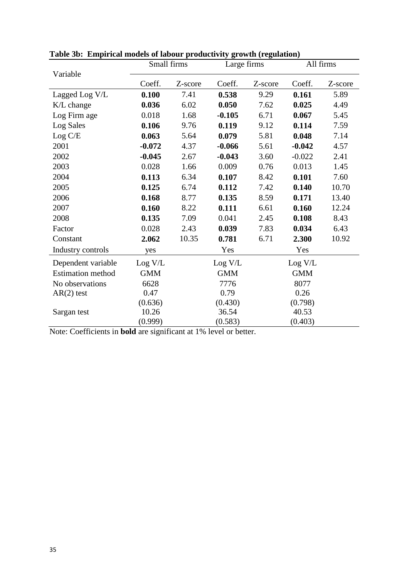|                          | Small firms |         | Large firms |         | All firms  |         |
|--------------------------|-------------|---------|-------------|---------|------------|---------|
| Variable                 | Coeff.      | Z-score | Coeff.      | Z-score | Coeff.     | Z-score |
| Lagged Log V/L           | 0.100       | 7.41    | 0.538       | 9.29    | 0.161      | 5.89    |
| K/L change               | 0.036       | 6.02    | 0.050       | 7.62    | 0.025      | 4.49    |
| Log Firm age             | 0.018       | 1.68    | $-0.105$    | 6.71    | 0.067      | 5.45    |
| Log Sales                | 0.106       | 9.76    | 0.119       | 9.12    | 0.114      | 7.59    |
| Log C/E                  | 0.063       | 5.64    | 0.079       | 5.81    | 0.048      | 7.14    |
| 2001                     | $-0.072$    | 4.37    | $-0.066$    | 5.61    | $-0.042$   | 4.57    |
| 2002                     | $-0.045$    | 2.67    | $-0.043$    | 3.60    | $-0.022$   | 2.41    |
| 2003                     | 0.028       | 1.66    | 0.009       | 0.76    | 0.013      | 1.45    |
| 2004                     | 0.113       | 6.34    | 0.107       | 8.42    | 0.101      | 7.60    |
| 2005                     | 0.125       | 6.74    | 0.112       | 7.42    | 0.140      | 10.70   |
| 2006                     | 0.168       | 8.77    | 0.135       | 8.59    | 0.171      | 13.40   |
| 2007                     | 0.160       | 8.22    | 0.111       | 6.61    | 0.160      | 12.24   |
| 2008                     | 0.135       | 7.09    | 0.041       | 2.45    | 0.108      | 8.43    |
| Factor                   | 0.028       | 2.43    | 0.039       | 7.83    | 0.034      | 6.43    |
| Constant                 | 2.062       | 10.35   | 0.781       | 6.71    | 2.300      | 10.92   |
| Industry controls        | yes         |         | Yes         |         | Yes        |         |
| Dependent variable       | Log V/L     |         | Log V/L     |         | Log V/L    |         |
| <b>Estimation</b> method | <b>GMM</b>  |         | <b>GMM</b>  |         | <b>GMM</b> |         |
| No observations          | 6628        |         | 7776        |         | 8077       |         |
| $AR(2)$ test             | 0.47        |         | 0.79        |         | 0.26       |         |
|                          | (0.636)     |         | (0.430)     |         | (0.798)    |         |
| Sargan test              | 10.26       |         | 36.54       |         | 40.53      |         |
|                          | (0.999)     |         | (0.583)     |         | (0.403)    |         |

**Table 3b: Empirical models of labour productivity growth (regulation)**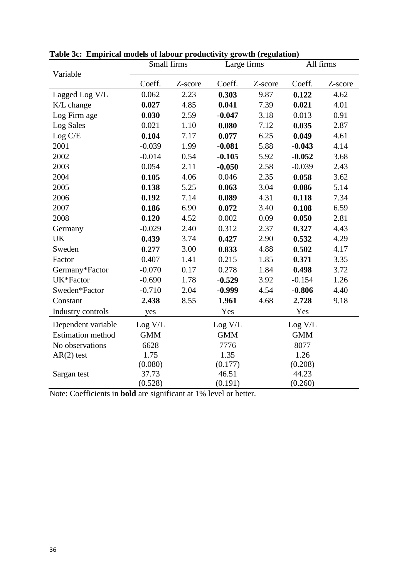|                          | Small firms |         | Large firms |         | All firms  |         |
|--------------------------|-------------|---------|-------------|---------|------------|---------|
| Variable                 | Coeff.      | Z-score | Coeff.      | Z-score | Coeff.     | Z-score |
| Lagged Log V/L           | 0.062       | 2.23    | 0.303       | 9.87    | 0.122      | 4.62    |
| K/L change               | 0.027       | 4.85    | 0.041       | 7.39    | 0.021      | 4.01    |
| Log Firm age             | 0.030       | 2.59    | $-0.047$    | 3.18    | 0.013      | 0.91    |
| Log Sales                | 0.021       | 1.10    | 0.080       | 7.12    | 0.035      | 2.87    |
| Log C/E                  | 0.104       | 7.17    | 0.077       | 6.25    | 0.049      | 4.61    |
| 2001                     | $-0.039$    | 1.99    | $-0.081$    | 5.88    | $-0.043$   | 4.14    |
| 2002                     | $-0.014$    | 0.54    | $-0.105$    | 5.92    | $-0.052$   | 3.68    |
| 2003                     | 0.054       | 2.11    | $-0.050$    | 2.58    | $-0.039$   | 2.43    |
| 2004                     | 0.105       | 4.06    | 0.046       | 2.35    | 0.058      | 3.62    |
| 2005                     | 0.138       | 5.25    | 0.063       | 3.04    | 0.086      | 5.14    |
| 2006                     | 0.192       | 7.14    | 0.089       | 4.31    | 0.118      | 7.34    |
| 2007                     | 0.186       | 6.90    | 0.072       | 3.40    | 0.108      | 6.59    |
| 2008                     | 0.120       | 4.52    | 0.002       | 0.09    | 0.050      | 2.81    |
| Germany                  | $-0.029$    | 2.40    | 0.312       | 2.37    | 0.327      | 4.43    |
| <b>UK</b>                | 0.439       | 3.74    | 0.427       | 2.90    | 0.532      | 4.29    |
| Sweden                   | 0.277       | 3.00    | 0.833       | 4.88    | 0.502      | 4.17    |
| Factor                   | 0.407       | 1.41    | 0.215       | 1.85    | 0.371      | 3.35    |
| Germany*Factor           | $-0.070$    | 0.17    | 0.278       | 1.84    | 0.498      | 3.72    |
| UK*Factor                | $-0.690$    | 1.78    | $-0.529$    | 3.92    | $-0.154$   | 1.26    |
| Sweden*Factor            | $-0.710$    | 2.04    | $-0.999$    | 4.54    | $-0.806$   | 4.40    |
| Constant                 | 2.438       | 8.55    | 1.961       | 4.68    | 2.728      | 9.18    |
| Industry controls        | yes         |         | Yes         |         | Yes        |         |
| Dependent variable       | Log V/L     |         | Log V/L     |         | Log V/L    |         |
| <b>Estimation method</b> | <b>GMM</b>  |         | <b>GMM</b>  |         | <b>GMM</b> |         |
| No observations          | 6628        |         | 7776        |         | 8077       |         |
| $AR(2)$ test             | 1.75        |         | 1.35        |         | 1.26       |         |
|                          | (0.080)     |         | (0.177)     |         | (0.208)    |         |
| Sargan test              | 37.73       |         | 46.51       |         | 44.23      |         |
|                          | (0.528)     |         | (0.191)     |         | (0.260)    |         |

**Table 3c: Empirical models of labour productivity growth (regulation)**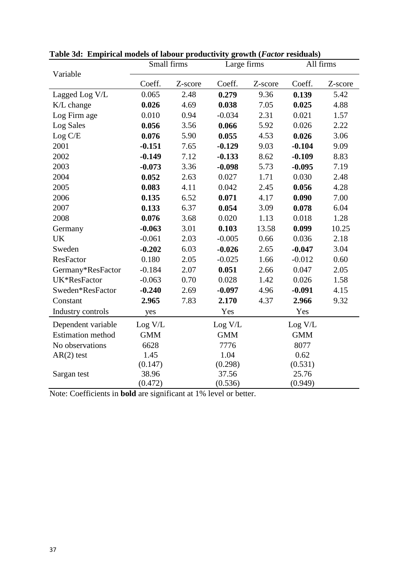|                          | $0.1$ and $0.01$<br>Small firms |         | Large firms |         | All firms  |         |
|--------------------------|---------------------------------|---------|-------------|---------|------------|---------|
| Variable                 | Coeff.                          | Z-score | Coeff.      | Z-score | Coeff.     | Z-score |
| Lagged Log V/L           | 0.065                           | 2.48    | 0.279       | 9.36    | 0.139      | 5.42    |
| K/L change               | 0.026                           | 4.69    | 0.038       | 7.05    | 0.025      | 4.88    |
| Log Firm age             | 0.010                           | 0.94    | $-0.034$    | 2.31    | 0.021      | 1.57    |
| Log Sales                | 0.056                           | 3.56    | 0.066       | 5.92    | 0.026      | 2.22    |
| Log C/E                  | 0.076                           | 5.90    | 0.055       | 4.53    | 0.026      | 3.06    |
| 2001                     | $-0.151$                        | 7.65    | $-0.129$    | 9.03    | $-0.104$   | 9.09    |
| 2002                     | $-0.149$                        | 7.12    | $-0.133$    | 8.62    | $-0.109$   | 8.83    |
| 2003                     | $-0.073$                        | 3.36    | $-0.098$    | 5.73    | $-0.095$   | 7.19    |
| 2004                     | 0.052                           | 2.63    | 0.027       | 1.71    | 0.030      | 2.48    |
| 2005                     | 0.083                           | 4.11    | 0.042       | 2.45    | 0.056      | 4.28    |
| 2006                     | 0.135                           | 6.52    | 0.071       | 4.17    | 0.090      | 7.00    |
| 2007                     | 0.133                           | 6.37    | 0.054       | 3.09    | 0.078      | 6.04    |
| 2008                     | 0.076                           | 3.68    | 0.020       | 1.13    | 0.018      | 1.28    |
| Germany                  | $-0.063$                        | 3.01    | 0.103       | 13.58   | 0.099      | 10.25   |
| <b>UK</b>                | $-0.061$                        | 2.03    | $-0.005$    | 0.66    | 0.036      | 2.18    |
| Sweden                   | $-0.202$                        | 6.03    | $-0.026$    | 2.65    | $-0.047$   | 3.04    |
| <b>ResFactor</b>         | 0.180                           | 2.05    | $-0.025$    | 1.66    | $-0.012$   | 0.60    |
| Germany*ResFactor        | $-0.184$                        | 2.07    | 0.051       | 2.66    | 0.047      | 2.05    |
| UK*ResFactor             | $-0.063$                        | 0.70    | 0.028       | 1.42    | 0.026      | 1.58    |
| Sweden*ResFactor         | $-0.240$                        | 2.69    | $-0.097$    | 4.96    | $-0.091$   | 4.15    |
| Constant                 | 2.965                           | 7.83    | 2.170       | 4.37    | 2.966      | 9.32    |
| Industry controls        | yes                             |         | Yes         |         | Yes        |         |
| Dependent variable       | Log V/L                         |         | Log V/L     |         | Log V/L    |         |
| <b>Estimation</b> method | <b>GMM</b>                      |         | <b>GMM</b>  |         | <b>GMM</b> |         |
| No observations          | 6628                            |         | 7776        |         | 8077       |         |
| $AR(2)$ test             | 1.45                            |         | 1.04        |         | 0.62       |         |
|                          | (0.147)                         |         | (0.298)     |         | (0.531)    |         |
| Sargan test              | 38.96                           |         | 37.56       |         | 25.76      |         |
|                          | (0.472)                         |         | (0.536)     |         | (0.949)    |         |

**Table 3d: Empirical models of labour productivity growth (***Factor* **residuals)**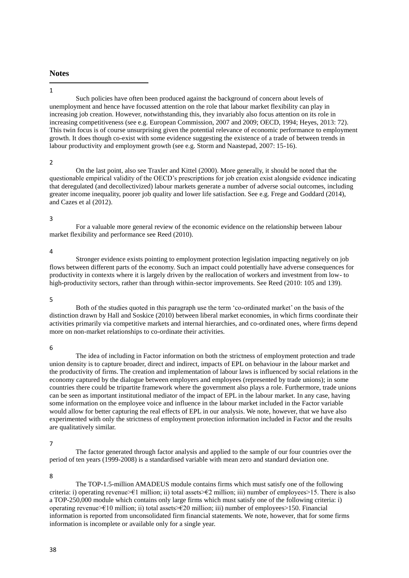# **Notes**

#### 1 1

Such policies have often been produced against the background of concern about levels of unemployment and hence have focussed attention on the role that labour market flexibility can play in increasing job creation. However, notwithstanding this, they invariably also focus attention on its role in increasing competitiveness (see e.g. European Commission, 2007 and 2009; OECD, 1994; Heyes, 2013: 72). This twin focus is of course unsurprising given the potential relevance of economic performance to employment growth. It does though co-exist with some evidence suggesting the existence of a trade of between trends in labour productivity and employment growth (see e.g. Storm and Naastepad, 2007: 15-16).

#### 2

On the last point, also see Traxler and Kittel (2000). More generally, it should be noted that the questionable empirical validity of the OECD's prescriptions for job creation exist alongside evidence indicating that deregulated (and decollectivized) labour markets generate a number of adverse social outcomes, including greater income inequality, poorer job quality and lower life satisfaction. See e.g. Frege and Goddard (2014), and Cazes et al (2012).

#### 3

For a valuable more general review of the economic evidence on the relationship between labour market flexibility and performance see Reed (2010).

#### 4

Stronger evidence exists pointing to employment protection legislation impacting negatively on job flows between different parts of the economy. Such an impact could potentially have adverse consequences for productivity in contexts where it is largely driven by the reallocation of workers and investment from low- to high-productivity sectors, rather than through within-sector improvements. See Reed (2010: 105 and 139).

#### 5

Both of the studies quoted in this paragraph use the term 'co-ordinated market' on the basis of the distinction drawn by Hall and Soskice (2010) between liberal market economies, in which firms coordinate their activities primarily via competitive markets and internal hierarchies, and co-ordinated ones, where firms depend more on non-market relationships to co-ordinate their activities.

#### 6

The idea of including in Factor information on both the strictness of employment protection and trade union density is to capture broader, direct and indirect, impacts of EPL on behaviour in the labour market and the productivity of firms. The creation and implementation of labour laws is influenced by social relations in the economy captured by the dialogue between employers and employees (represented by trade unions); in some countries there could be tripartite framework where the government also plays a role. Furthermore, trade unions can be seen as important institutional mediator of the impact of EPL in the labour market. In any case, having some information on the employee voice and influence in the labour market included in the Factor variable would allow for better capturing the real effects of EPL in our analysis. We note, however, that we have also experimented with only the strictness of employment protection information included in Factor and the results are qualitatively similar.

#### 7

The factor generated through factor analysis and applied to the sample of our four countries over the period of ten years (1999-2008) is a standardised variable with mean zero and standard deviation one.

#### 8

The TOP-1.5-million AMADEUS module contains firms which must satisfy one of the following criteria: i) operating revenue>€1 million; ii) total assets>€2 million; iii) number of employees>15. There is also a TOP-250,000 module which contains only large firms which must satisfy one of the following criteria: i) operating revenue>€10 million; ii) total assets>€20 million; iii) number of employees>150. Financial information is reported from unconsolidated firm financial statements. We note, however, that for some firms information is incomplete or available only for a single year.